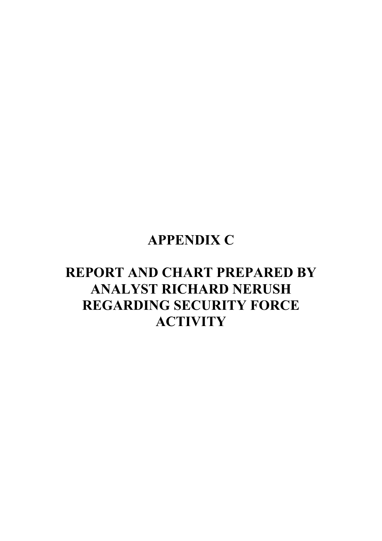# **APPENDIX C**

# **REPORT AND CHART PREPARED BY ANALYST RICHARD NERUSH REGARDING SECURITY FORCE ACTIVITY**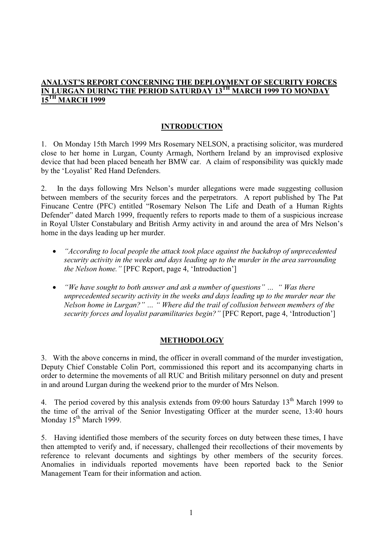## **ANALYST'S REPORT CONCERNING THE DEPLOYMENT OF SECURITY FORCES IN LURGAN DURING THE PERIOD SATURDAY 13TH MARCH 1999 TO MONDAY 15TH MARCH 1999**

#### **INTRODUCTION**

1. On Monday 15th March 1999 Mrs Rosemary NELSON, a practising solicitor, was murdered close to her home in Lurgan, County Armagh, Northern Ireland by an improvised explosive device that had been placed beneath her BMW car. A claim of responsibility was quickly made by the 'Loyalist' Red Hand Defenders.

2. In the days following Mrs Nelson's murder allegations were made suggesting collusion between members of the security forces and the perpetrators. A report published by The Pat Finucane Centre (PFC) entitled "Rosemary Nelson The Life and Death of a Human Rights Defender" dated March 1999, frequently refers to reports made to them of a suspicious increase in Royal Ulster Constabulary and British Army activity in and around the area of Mrs Nelson's home in the days leading up her murder.

- *"According to local people the attack took place against the backdrop of unprecedented security activity in the weeks and days leading up to the murder in the area surrounding the Nelson home."* [PFC Report, page 4, 'Introduction']
- *"We have sought to both answer and ask a number of questions" … " Was there unprecedented security activity in the weeks and days leading up to the murder near the Nelson home in Lurgan?" … " Where did the trail of collusion between members of the security forces and loyalist paramilitaries begin?"* [PFC Report, page 4, 'Introduction']

# **METHODOLOGY**

3. With the above concerns in mind, the officer in overall command of the murder investigation, Deputy Chief Constable Colin Port, commissioned this report and its accompanying charts in order to determine the movements of all RUC and British military personnel on duty and present in and around Lurgan during the weekend prior to the murder of Mrs Nelson.

4. The period covered by this analysis extends from 09:00 hours Saturday 13<sup>th</sup> March 1999 to the time of the arrival of the Senior Investigating Officer at the murder scene, 13:40 hours Monday  $15^{th}$  March 1999.

5. Having identified those members of the security forces on duty between these times, I have then attempted to verify and, if necessary, challenged their recollections of their movements by reference to relevant documents and sightings by other members of the security forces. Anomalies in individuals reported movements have been reported back to the Senior Management Team for their information and action.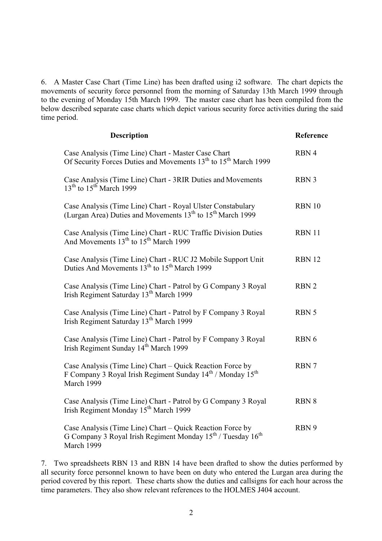6. A Master Case Chart (Time Line) has been drafted using i2 software. The chart depicts the movements of security force personnel from the morning of Saturday 13th March 1999 through to the evening of Monday 15th March 1999. The master case chart has been compiled from the below described separate case charts which depict various security force activities during the said time period.

| <b>Description</b>                                                                                                                                             | Reference        |
|----------------------------------------------------------------------------------------------------------------------------------------------------------------|------------------|
| Case Analysis (Time Line) Chart - Master Case Chart<br>Of Security Forces Duties and Movements 13 <sup>th</sup> to 15 <sup>th</sup> March 1999                 | RBN 4            |
| Case Analysis (Time Line) Chart - 3RIR Duties and Movements<br>$13th$ to $15th$ March 1999                                                                     | RBN 3            |
| Case Analysis (Time Line) Chart - Royal Ulster Constabulary<br>(Lurgan Area) Duties and Movements 13 <sup>th</sup> to 15 <sup>th</sup> March 1999              | <b>RBN 10</b>    |
| Case Analysis (Time Line) Chart - RUC Traffic Division Duties<br>And Movements 13 <sup>th</sup> to 15 <sup>th</sup> March 1999                                 | <b>RBN 11</b>    |
| Case Analysis (Time Line) Chart - RUC J2 Mobile Support Unit<br>Duties And Movements 13 <sup>th</sup> to 15 <sup>th</sup> March 1999                           | <b>RBN 12</b>    |
| Case Analysis (Time Line) Chart - Patrol by G Company 3 Royal<br>Irish Regiment Saturday 13 <sup>th</sup> March 1999                                           | RBN <sub>2</sub> |
| Case Analysis (Time Line) Chart - Patrol by F Company 3 Royal<br>Irish Regiment Saturday 13 <sup>th</sup> March 1999                                           | RBN 5            |
| Case Analysis (Time Line) Chart - Patrol by F Company 3 Royal<br>Irish Regiment Sunday 14 <sup>th</sup> March 1999                                             | RBN 6            |
| Case Analysis (Time Line) Chart – Quick Reaction Force by<br>F Company 3 Royal Irish Regiment Sunday 14 <sup>th</sup> / Monday 15 <sup>th</sup><br>March 1999  | RBN 7            |
| Case Analysis (Time Line) Chart - Patrol by G Company 3 Royal<br>Irish Regiment Monday 15 <sup>th</sup> March 1999                                             | <b>RBN 8</b>     |
| Case Analysis (Time Line) Chart – Quick Reaction Force by<br>G Company 3 Royal Irish Regiment Monday 15 <sup>th</sup> / Tuesday 16 <sup>th</sup><br>March 1999 | RBN 9            |

7. Two spreadsheets RBN 13 and RBN 14 have been drafted to show the duties performed by all security force personnel known to have been on duty who entered the Lurgan area during the period covered by this report. These charts show the duties and callsigns for each hour across the time parameters. They also show relevant references to the HOLMES J404 account.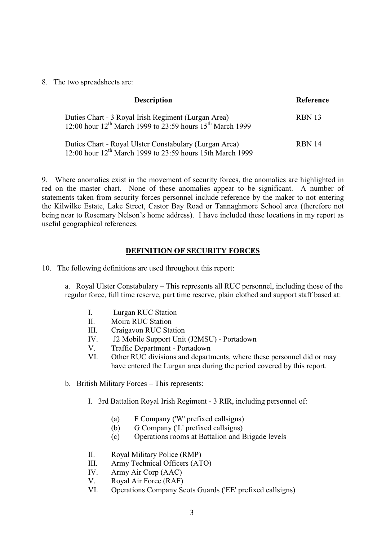8. The two spreadsheets are:

| <b>Description</b>                                                                                                                       | Reference     |
|------------------------------------------------------------------------------------------------------------------------------------------|---------------|
| Duties Chart - 3 Royal Irish Regiment (Lurgan Area)<br>12:00 hour 12 <sup>th</sup> March 1999 to 23:59 hours 15 <sup>th</sup> March 1999 | RBN 13        |
| Duties Chart - Royal Ulster Constabulary (Lurgan Area)<br>12:00 hour 12 <sup>th</sup> March 1999 to 23:59 hours 15th March 1999          | <b>RBN 14</b> |

9. Where anomalies exist in the movement of security forces, the anomalies are highlighted in red on the master chart. None of these anomalies appear to be significant. A number of statements taken from security forces personnel include reference by the maker to not entering the Kilwilke Estate, Lake Street, Castor Bay Road or Tannaghmore School area (therefore not being near to Rosemary Nelson's home address). I have included these locations in my report as useful geographical references.

#### **DEFINITION OF SECURITY FORCES**

10. The following definitions are used throughout this report:

a. Royal Ulster Constabulary – This represents all RUC personnel, including those of the regular force, full time reserve, part time reserve, plain clothed and support staff based at:

- I. Lurgan RUC Station
- II. Moira RUC Station
- III. Craigavon RUC Station
- IV. J2 Mobile Support Unit (J2MSU) Portadown
- V. Traffic Department Portadown
- VI. Other RUC divisions and departments, where these personnel did or may have entered the Lurgan area during the period covered by this report.
- b. British Military Forces This represents:
	- I. 3rd Battalion Royal Irish Regiment 3 RIR, including personnel of:
		- (a) F Company ('W' prefixed callsigns)
		- (b) G Company ('L' prefixed callsigns)
		- (c) Operations rooms at Battalion and Brigade levels
	- II. Royal Military Police (RMP)
	- III. Army Technical Officers (ATO)
	- IV. Army Air Corp (AAC)
	- V. Royal Air Force (RAF)
	- VI. Operations Company Scots Guards ('EE' prefixed callsigns)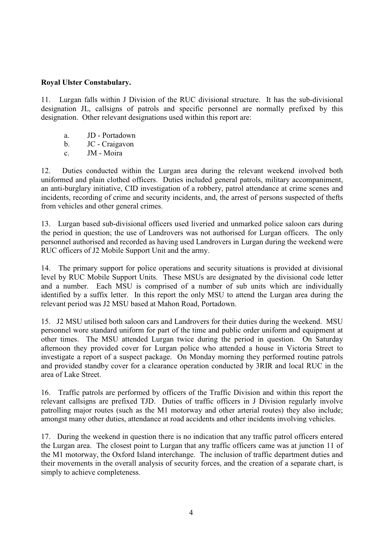#### **Royal Ulster Constabulary.**

11. Lurgan falls within J Division of the RUC divisional structure. It has the sub-divisional designation JL, callsigns of patrols and specific personnel are normally prefixed by this designation. Other relevant designations used within this report are:

- a. JD Portadown
- b. JC Craigavon
- c. JM Moira

12. Duties conducted within the Lurgan area during the relevant weekend involved both uniformed and plain clothed officers. Duties included general patrols, military accompaniment, an anti-burglary initiative, CID investigation of a robbery, patrol attendance at crime scenes and incidents, recording of crime and security incidents, and, the arrest of persons suspected of thefts from vehicles and other general crimes.

13. Lurgan based sub-divisional officers used liveried and unmarked police saloon cars during the period in question; the use of Landrovers was not authorised for Lurgan officers. The only personnel authorised and recorded as having used Landrovers in Lurgan during the weekend were RUC officers of J2 Mobile Support Unit and the army.

14. The primary support for police operations and security situations is provided at divisional level by RUC Mobile Support Units. These MSUs are designated by the divisional code letter and a number. Each MSU is comprised of a number of sub units which are individually identified by a suffix letter. In this report the only MSU to attend the Lurgan area during the relevant period was J2 MSU based at Mahon Road, Portadown.

15. J2 MSU utilised both saloon cars and Landrovers for their duties during the weekend. MSU personnel wore standard uniform for part of the time and public order uniform and equipment at other times. The MSU attended Lurgan twice during the period in question. On Saturday afternoon they provided cover for Lurgan police who attended a house in Victoria Street to investigate a report of a suspect package. On Monday morning they performed routine patrols and provided standby cover for a clearance operation conducted by 3RIR and local RUC in the area of Lake Street.

16. Traffic patrols are performed by officers of the Traffic Division and within this report the relevant callsigns are prefixed TJD. Duties of traffic officers in J Division regularly involve patrolling major routes (such as the M1 motorway and other arterial routes) they also include; amongst many other duties, attendance at road accidents and other incidents involving vehicles.

17. During the weekend in question there is no indication that any traffic patrol officers entered the Lurgan area. The closest point to Lurgan that any traffic officers came was at junction 11 of the M1 motorway, the Oxford Island interchange. The inclusion of traffic department duties and their movements in the overall analysis of security forces, and the creation of a separate chart, is simply to achieve completeness.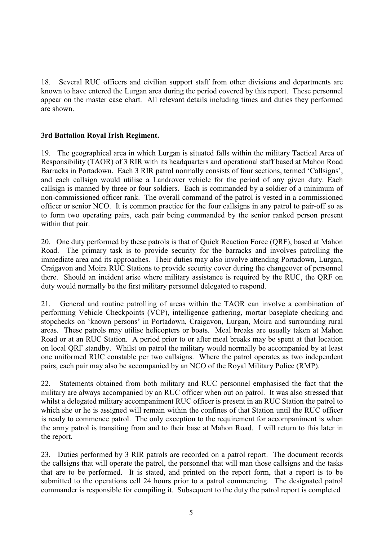18. Several RUC officers and civilian support staff from other divisions and departments are known to have entered the Lurgan area during the period covered by this report. These personnel appear on the master case chart. All relevant details including times and duties they performed are shown.

# **3rd Battalion Royal Irish Regiment.**

19. The geographical area in which Lurgan is situated falls within the military Tactical Area of Responsibility (TAOR) of 3 RIR with its headquarters and operational staff based at Mahon Road Barracks in Portadown. Each 3 RIR patrol normally consists of four sections, termed 'Callsigns', and each callsign would utilise a Landrover vehicle for the period of any given duty. Each callsign is manned by three or four soldiers. Each is commanded by a soldier of a minimum of non-commissioned officer rank. The overall command of the patrol is vested in a commissioned officer or senior NCO. It is common practice for the four callsigns in any patrol to pair-off so as to form two operating pairs, each pair being commanded by the senior ranked person present within that pair.

20. One duty performed by these patrols is that of Quick Reaction Force (QRF), based at Mahon Road. The primary task is to provide security for the barracks and involves patrolling the immediate area and its approaches. Their duties may also involve attending Portadown, Lurgan, Craigavon and Moira RUC Stations to provide security cover during the changeover of personnel there. Should an incident arise where military assistance is required by the RUC, the QRF on duty would normally be the first military personnel delegated to respond.

21. General and routine patrolling of areas within the TAOR can involve a combination of performing Vehicle Checkpoints (VCP), intelligence gathering, mortar baseplate checking and stopchecks on 'known persons' in Portadown, Craigavon, Lurgan, Moira and surrounding rural areas. These patrols may utilise helicopters or boats. Meal breaks are usually taken at Mahon Road or at an RUC Station. A period prior to or after meal breaks may be spent at that location on local QRF standby. Whilst on patrol the military would normally be accompanied by at least one uniformed RUC constable per two callsigns. Where the patrol operates as two independent pairs, each pair may also be accompanied by an NCO of the Royal Military Police (RMP).

22. Statements obtained from both military and RUC personnel emphasised the fact that the military are always accompanied by an RUC officer when out on patrol. It was also stressed that whilst a delegated military accompaniment RUC officer is present in an RUC Station the patrol to which she or he is assigned will remain within the confines of that Station until the RUC officer is ready to commence patrol. The only exception to the requirement for accompaniment is when the army patrol is transiting from and to their base at Mahon Road. I will return to this later in the report.

23. Duties performed by 3 RIR patrols are recorded on a patrol report. The document records the callsigns that will operate the patrol, the personnel that will man those callsigns and the tasks that are to be performed. It is stated, and printed on the report form, that a report is to be submitted to the operations cell 24 hours prior to a patrol commencing. The designated patrol commander is responsible for compiling it. Subsequent to the duty the patrol report is completed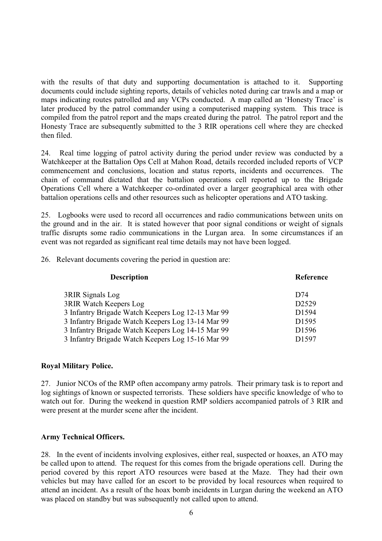with the results of that duty and supporting documentation is attached to it. Supporting documents could include sighting reports, details of vehicles noted during car trawls and a map or maps indicating routes patrolled and any VCPs conducted. A map called an 'Honesty Trace' is later produced by the patrol commander using a computerised mapping system. This trace is compiled from the patrol report and the maps created during the patrol. The patrol report and the Honesty Trace are subsequently submitted to the 3 RIR operations cell where they are checked then filed.

24. Real time logging of patrol activity during the period under review was conducted by a Watchkeeper at the Battalion Ops Cell at Mahon Road, details recorded included reports of VCP commencement and conclusions, location and status reports, incidents and occurrences. The chain of command dictated that the battalion operations cell reported up to the Brigade Operations Cell where a Watchkeeper co-ordinated over a larger geographical area with other battalion operations cells and other resources such as helicopter operations and ATO tasking.

25. Logbooks were used to record all occurrences and radio communications between units on the ground and in the air. It is stated however that poor signal conditions or weight of signals traffic disrupts some radio communications in the Lurgan area. In some circumstances if an event was not regarded as significant real time details may not have been logged.

26. Relevant documents covering the period in question are:

| <b>Description</b>                                | Reference         |
|---------------------------------------------------|-------------------|
| 3RIR Signals Log                                  | D74               |
| <b>3RIR Watch Keepers Log</b>                     | D2529             |
| 3 Infantry Brigade Watch Keepers Log 12-13 Mar 99 | D1594             |
| 3 Infantry Brigade Watch Keepers Log 13-14 Mar 99 | D <sub>1595</sub> |
| 3 Infantry Brigade Watch Keepers Log 14-15 Mar 99 | D <sub>1596</sub> |
| 3 Infantry Brigade Watch Keepers Log 15-16 Mar 99 | D1597             |
|                                                   |                   |

#### **Royal Military Police.**

27. Junior NCOs of the RMP often accompany army patrols. Their primary task is to report and log sightings of known or suspected terrorists. These soldiers have specific knowledge of who to watch out for. During the weekend in question RMP soldiers accompanied patrols of 3 RIR and were present at the murder scene after the incident.

# **Army Technical Officers.**

28. In the event of incidents involving explosives, either real, suspected or hoaxes, an ATO may be called upon to attend. The request for this comes from the brigade operations cell. During the period covered by this report ATO resources were based at the Maze. They had their own vehicles but may have called for an escort to be provided by local resources when required to attend an incident. As a result of the hoax bomb incidents in Lurgan during the weekend an ATO was placed on standby but was subsequently not called upon to attend.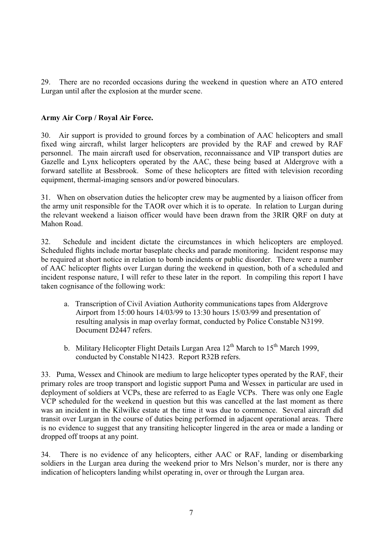29. There are no recorded occasions during the weekend in question where an ATO entered Lurgan until after the explosion at the murder scene.

#### **Army Air Corp / Royal Air Force.**

30. Air support is provided to ground forces by a combination of AAC helicopters and small fixed wing aircraft, whilst larger helicopters are provided by the RAF and crewed by RAF personnel. The main aircraft used for observation, reconnaissance and VIP transport duties are Gazelle and Lynx helicopters operated by the AAC, these being based at Aldergrove with a forward satellite at Bessbrook. Some of these helicopters are fitted with television recording equipment, thermal-imaging sensors and/or powered binoculars.

31. When on observation duties the helicopter crew may be augmented by a liaison officer from the army unit responsible for the TAOR over which it is to operate. In relation to Lurgan during the relevant weekend a liaison officer would have been drawn from the 3RIR QRF on duty at Mahon Road.

32. Schedule and incident dictate the circumstances in which helicopters are employed. Scheduled flights include mortar baseplate checks and parade monitoring. Incident response may be required at short notice in relation to bomb incidents or public disorder. There were a number of AAC helicopter flights over Lurgan during the weekend in question, both of a scheduled and incident response nature, I will refer to these later in the report. In compiling this report I have taken cognisance of the following work:

- a. Transcription of Civil Aviation Authority communications tapes from Aldergrove Airport from 15:00 hours 14/03/99 to 13:30 hours 15/03/99 and presentation of resulting analysis in map overlay format, conducted by Police Constable N3199. Document D2447 refers.
- b. Military Helicopter Flight Details Lurgan Area  $12<sup>th</sup>$  March to  $15<sup>th</sup>$  March 1999, conducted by Constable N1423. Report R32B refers.

33. Puma, Wessex and Chinook are medium to large helicopter types operated by the RAF, their primary roles are troop transport and logistic support Puma and Wessex in particular are used in deployment of soldiers at VCPs, these are referred to as Eagle VCPs. There was only one Eagle VCP scheduled for the weekend in question but this was cancelled at the last moment as there was an incident in the Kilwilke estate at the time it was due to commence. Several aircraft did transit over Lurgan in the course of duties being performed in adjacent operational areas. There is no evidence to suggest that any transiting helicopter lingered in the area or made a landing or dropped off troops at any point.

34. There is no evidence of any helicopters, either AAC or RAF, landing or disembarking soldiers in the Lurgan area during the weekend prior to Mrs Nelson's murder, nor is there any indication of helicopters landing whilst operating in, over or through the Lurgan area.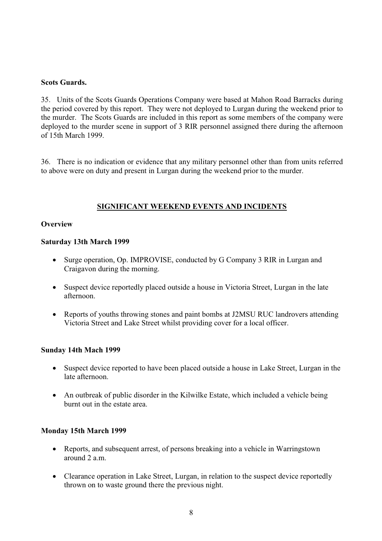#### **Scots Guards.**

35. Units of the Scots Guards Operations Company were based at Mahon Road Barracks during the period covered by this report. They were not deployed to Lurgan during the weekend prior to the murder. The Scots Guards are included in this report as some members of the company were deployed to the murder scene in support of 3 RIR personnel assigned there during the afternoon of 15th March 1999.

36. There is no indication or evidence that any military personnel other than from units referred to above were on duty and present in Lurgan during the weekend prior to the murder.

#### **SIGNIFICANT WEEKEND EVENTS AND INCIDENTS**

#### **Overview**

#### **Saturday 13th March 1999**

- Surge operation, Op. IMPROVISE, conducted by G Company 3 RIR in Lurgan and Craigavon during the morning.
- Suspect device reportedly placed outside a house in Victoria Street, Lurgan in the late afternoon.
- Reports of youths throwing stones and paint bombs at J2MSU RUC landrovers attending Victoria Street and Lake Street whilst providing cover for a local officer.

#### **Sunday 14th Mach 1999**

- Suspect device reported to have been placed outside a house in Lake Street, Lurgan in the late afternoon.
- An outbreak of public disorder in the Kilwilke Estate, which included a vehicle being burnt out in the estate area.

#### **Monday 15th March 1999**

- Reports, and subsequent arrest, of persons breaking into a vehicle in Warringstown around 2 a.m.
- Clearance operation in Lake Street, Lurgan, in relation to the suspect device reportedly thrown on to waste ground there the previous night.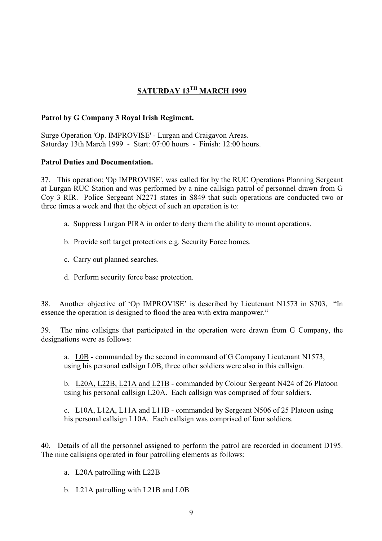# **SATURDAY 13TH MARCH 1999**

#### **Patrol by G Company 3 Royal Irish Regiment.**

Surge Operation 'Op. IMPROVISE' - Lurgan and Craigavon Areas. Saturday 13th March 1999 - Start: 07:00 hours - Finish: 12:00 hours.

#### **Patrol Duties and Documentation.**

37. This operation; 'Op IMPROVISE', was called for by the RUC Operations Planning Sergeant at Lurgan RUC Station and was performed by a nine callsign patrol of personnel drawn from G Coy 3 RIR. Police Sergeant N2271 states in S849 that such operations are conducted two or three times a week and that the object of such an operation is to:

- a. Suppress Lurgan PIRA in order to deny them the ability to mount operations.
- b. Provide soft target protections e.g. Security Force homes.
- c. Carry out planned searches.
- d. Perform security force base protection.

38. Another objective of 'Op IMPROVISE' is described by Lieutenant N1573 in S703, "In essence the operation is designed to flood the area with extra manpower."

39. The nine callsigns that participated in the operation were drawn from G Company, the designations were as follows:

a. L0B - commanded by the second in command of G Company Lieutenant N1573, using his personal callsign L0B, three other soldiers were also in this callsign.

b. L20A, L22B, L21A and L21B - commanded by Colour Sergeant N424 of 26 Platoon using his personal callsign L20A. Each callsign was comprised of four soldiers.

c. L10A, L12A, L11A and L11B - commanded by Sergeant N506 of 25 Platoon using his personal callsign L10A. Each callsign was comprised of four soldiers.

40. Details of all the personnel assigned to perform the patrol are recorded in document D195. The nine callsigns operated in four patrolling elements as follows:

- a. L20A patrolling with L22B
- b. L21A patrolling with L21B and L0B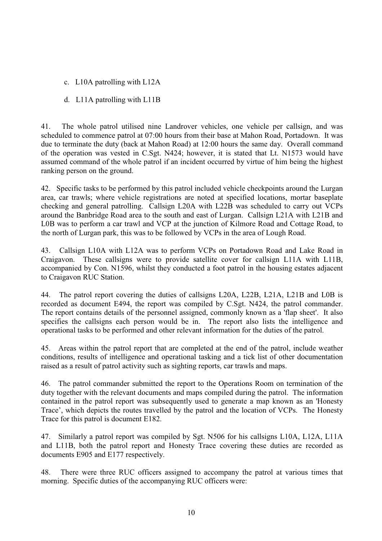c. L10A patrolling with L12A

# d. L11A patrolling with L11B

41. The whole patrol utilised nine Landrover vehicles, one vehicle per callsign, and was scheduled to commence patrol at 07:00 hours from their base at Mahon Road, Portadown. It was due to terminate the duty (back at Mahon Road) at 12:00 hours the same day. Overall command of the operation was vested in C.Sgt. N424; however, it is stated that Lt. N1573 would have assumed command of the whole patrol if an incident occurred by virtue of him being the highest ranking person on the ground.

42. Specific tasks to be performed by this patrol included vehicle checkpoints around the Lurgan area, car trawls; where vehicle registrations are noted at specified locations, mortar baseplate checking and general patrolling. Callsign L20A with L22B was scheduled to carry out VCPs around the Banbridge Road area to the south and east of Lurgan. Callsign L21A with L21B and L0B was to perform a car trawl and VCP at the junction of Kilmore Road and Cottage Road, to the north of Lurgan park, this was to be followed by VCPs in the area of Lough Road.

43. Callsign L10A with L12A was to perform VCPs on Portadown Road and Lake Road in Craigavon. These callsigns were to provide satellite cover for callsign L11A with L11B, accompanied by Con. N1596, whilst they conducted a foot patrol in the housing estates adjacent to Craigavon RUC Station.

44. The patrol report covering the duties of callsigns L20A, L22B, L21A, L21B and L0B is recorded as document E494, the report was compiled by C.Sgt. N424, the patrol commander. The report contains details of the personnel assigned, commonly known as a 'flap sheet'. It also specifies the callsigns each person would be in. The report also lists the intelligence and operational tasks to be performed and other relevant information for the duties of the patrol.

45. Areas within the patrol report that are completed at the end of the patrol, include weather conditions, results of intelligence and operational tasking and a tick list of other documentation raised as a result of patrol activity such as sighting reports, car trawls and maps.

46. The patrol commander submitted the report to the Operations Room on termination of the duty together with the relevant documents and maps compiled during the patrol. The information contained in the patrol report was subsequently used to generate a map known as an 'Honesty Trace', which depicts the routes travelled by the patrol and the location of VCPs. The Honesty Trace for this patrol is document E182.

47. Similarly a patrol report was compiled by Sgt. N506 for his callsigns L10A, L12A, L11A and L11B, both the patrol report and Honesty Trace covering these duties are recorded as documents E905 and E177 respectively.

48. There were three RUC officers assigned to accompany the patrol at various times that morning. Specific duties of the accompanying RUC officers were: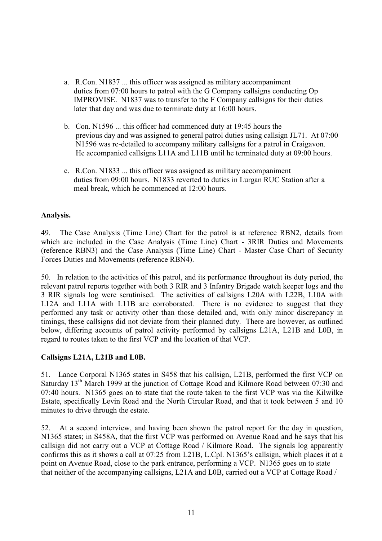- a. R.Con. N1837 ... this officer was assigned as military accompaniment duties from 07:00 hours to patrol with the G Company callsigns conducting Op IMPROVISE. N1837 was to transfer to the F Company callsigns for their duties later that day and was due to terminate duty at 16:00 hours.
- b. Con. N1596 ... this officer had commenced duty at 19:45 hours the previous day and was assigned to general patrol duties using callsign JL71. At 07:00 N1596 was re-detailed to accompany military callsigns for a patrol in Craigavon. He accompanied callsigns L11A and L11B until he terminated duty at 09:00 hours.
- c. R.Con. N1833 ... this officer was assigned as military accompaniment duties from 09:00 hours. N1833 reverted to duties in Lurgan RUC Station after a meal break, which he commenced at 12:00 hours.

# **Analysis.**

49. The Case Analysis (Time Line) Chart for the patrol is at reference RBN2, details from which are included in the Case Analysis (Time Line) Chart - 3RIR Duties and Movements (reference RBN3) and the Case Analysis (Time Line) Chart - Master Case Chart of Security Forces Duties and Movements (reference RBN4).

50. In relation to the activities of this patrol, and its performance throughout its duty period, the relevant patrol reports together with both 3 RIR and 3 Infantry Brigade watch keeper logs and the 3 RIR signals log were scrutinised. The activities of callsigns L20A with L22B, L10A with L12A and L11A with L11B are corroborated. There is no evidence to suggest that they performed any task or activity other than those detailed and, with only minor discrepancy in timings, these callsigns did not deviate from their planned duty. There are however, as outlined below, differing accounts of patrol activity performed by callsigns L21A, L21B and L0B, in regard to routes taken to the first VCP and the location of that VCP.

#### **Callsigns L21A, L21B and L0B.**

51. Lance Corporal N1365 states in S458 that his callsign, L21B, performed the first VCP on Saturday 13<sup>th</sup> March 1999 at the junction of Cottage Road and Kilmore Road between 07:30 and 07:40 hours. N1365 goes on to state that the route taken to the first VCP was via the Kilwilke Estate, specifically Levin Road and the North Circular Road, and that it took between 5 and 10 minutes to drive through the estate.

52. At a second interview, and having been shown the patrol report for the day in question, N1365 states; in S458A, that the first VCP was performed on Avenue Road and he says that his callsign did not carry out a VCP at Cottage Road / Kilmore Road. The signals log apparently confirms this as it shows a call at 07:25 from L21B, L.Cpl. N1365's callsign, which places it at a point on Avenue Road, close to the park entrance, performing a VCP. N1365 goes on to state that neither of the accompanying callsigns, L21A and L0B, carried out a VCP at Cottage Road /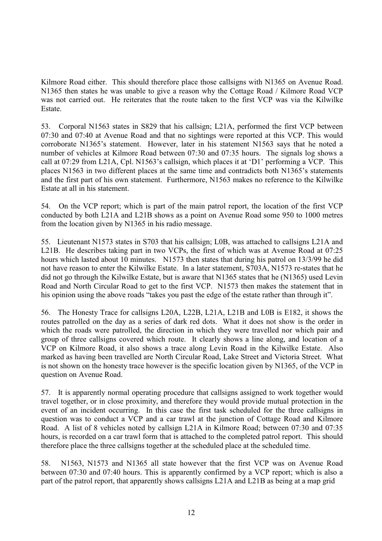Kilmore Road either. This should therefore place those callsigns with N1365 on Avenue Road. N1365 then states he was unable to give a reason why the Cottage Road / Kilmore Road VCP was not carried out. He reiterates that the route taken to the first VCP was via the Kilwilke Estate.

53. Corporal N1563 states in S829 that his callsign; L21A, performed the first VCP between 07:30 and 07:40 at Avenue Road and that no sightings were reported at this VCP. This would corroborate N1365's statement. However, later in his statement N1563 says that he noted a number of vehicles at Kilmore Road between 07:30 and 07:35 hours. The signals log shows a call at 07:29 from L21A, Cpl. N1563's callsign, which places it at 'D1' performing a VCP. This places N1563 in two different places at the same time and contradicts both N1365's statements and the first part of his own statement. Furthermore, N1563 makes no reference to the Kilwilke Estate at all in his statement.

54. On the VCP report; which is part of the main patrol report, the location of the first VCP conducted by both L21A and L21B shows as a point on Avenue Road some 950 to 1000 metres from the location given by N1365 in his radio message.

55. Lieutenant N1573 states in S703 that his callsign; L0B, was attached to callsigns L21A and L21B. He describes taking part in two VCPs, the first of which was at Avenue Road at 07:25 hours which lasted about 10 minutes. N1573 then states that during his patrol on 13/3/99 he did not have reason to enter the Kilwilke Estate. In a later statement, S703A, N1573 re-states that he did not go through the Kilwilke Estate, but is aware that N1365 states that he (N1365) used Levin Road and North Circular Road to get to the first VCP. N1573 then makes the statement that in his opinion using the above roads "takes you past the edge of the estate rather than through it".

56. The Honesty Trace for callsigns L20A, L22B, L21A, L21B and L0B is E182, it shows the routes patrolled on the day as a series of dark red dots. What it does not show is the order in which the roads were patrolled, the direction in which they were travelled nor which pair and group of three callsigns covered which route. It clearly shows a line along, and location of a VCP on Kilmore Road, it also shows a trace along Levin Road in the Kilwilke Estate. Also marked as having been travelled are North Circular Road, Lake Street and Victoria Street. What is not shown on the honesty trace however is the specific location given by N1365, of the VCP in question on Avenue Road.

57. It is apparently normal operating procedure that callsigns assigned to work together would travel together, or in close proximity, and therefore they would provide mutual protection in the event of an incident occurring. In this case the first task scheduled for the three callsigns in question was to conduct a VCP and a car trawl at the junction of Cottage Road and Kilmore Road. A list of 8 vehicles noted by callsign L21A in Kilmore Road; between 07:30 and 07:35 hours, is recorded on a car trawl form that is attached to the completed patrol report. This should therefore place the three callsigns together at the scheduled place at the scheduled time.

58. N1563, N1573 and N1365 all state however that the first VCP was on Avenue Road between 07:30 and 07:40 hours. This is apparently confirmed by a VCP report; which is also a part of the patrol report, that apparently shows callsigns L21A and L21B as being at a map grid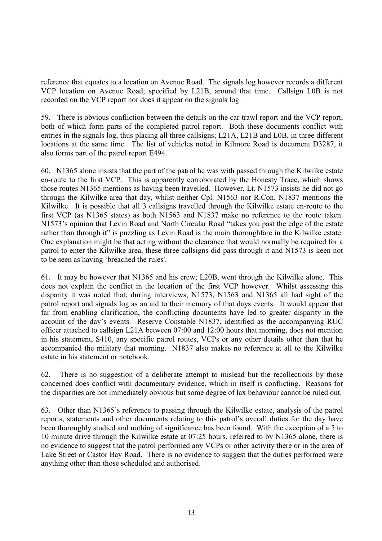reference that equates to a location on Avenue Road. The signals log however records a different VCP location on Avenue Road; specified by L21B, around that time. Callsign L0B is not recorded on the VCP report nor does it appear on the signals log.

59. There is obvious confliction between the details on the car trawl report and the VCP report, both of which form parts of the completed patrol report. Both these documents conflict with entries in the signals log, thus placing all three callsigns; L21A, L21B and L0B, in three different locations at the same time. The list of vehicles noted in Kilmore Road is document D3287, it also forms part of the patrol report E494.

60. N1365 alone insists that the part of the patrol he was with passed through the Kilwilke estate en-route to the first VCP. This is apparently corroborated by the Honesty Trace, which shows those routes N1365 mentions as having been travelled. However, Lt. N1573 insists he did not go through the Kilwilke area that day, whilst neither Cpl. N1563 nor R.Con. N1837 mentions the Kilwilke. It is possible that all 3 callsigns travelled through the Kilwilke estate en-route to the first VCP (as N1365 states) as both N1563 and N1837 make no reference to the route taken. N1573's opinion that Levin Road and North Circular Road "takes you past the edge of the estate rather than through it" is puzzling as Levin Road is the main thoroughfare in the Kilwilke estate. One explanation might be that acting without the clearance that would normally be required for a patrol to enter the Kilwilke area, these three callsigns did pass through it and N1573 is keen not to be seen as having 'breached the rules'.

61. It may be however that N1365 and his crew; L20B, went through the Kilwilke alone. This does not explain the conflict in the location of the first VCP however. Whilst assessing this disparity it was noted that; during interviews, N1573, N1563 and N1365 all had sight of the patrol report and signals log as an aid to their memory of that days events. It would appear that far from enabling clarification, the conflicting documents have led to greater disparity in the account of the day's events. Reserve Constable N1837, identified as the accompanying RUC officer attached to callsign L21A between 07:00 and 12:00 hours that morning, does not mention in his statement, S410, any specific patrol routes, VCPs or any other details other than that he accompanied the military that morning. N1837 also makes no reference at all to the Kilwilke estate in his statement or notebook.

62. There is no suggestion of a deliberate attempt to mislead but the recollections by those concerned does conflict with documentary evidence, which in itself is conflicting. Reasons for the disparities are not immediately obvious but some degree of lax behaviour cannot be ruled out.

63. Other than N1365's reference to passing through the Kilwilke estate, analysis of the patrol reports, statements and other documents relating to this patrol's overall duties for the day have been thoroughly studied and nothing of significance has been found. With the exception of a 5 to 10 minute drive through the Kilwilke estate at 07:25 hours, referred to by N1365 alone, there is no evidence to suggest that the patrol performed any VCPs or other activity there or in the area of Lake Street or Castor Bay Road. There is no evidence to suggest that the duties performed were anything other than those scheduled and authorised.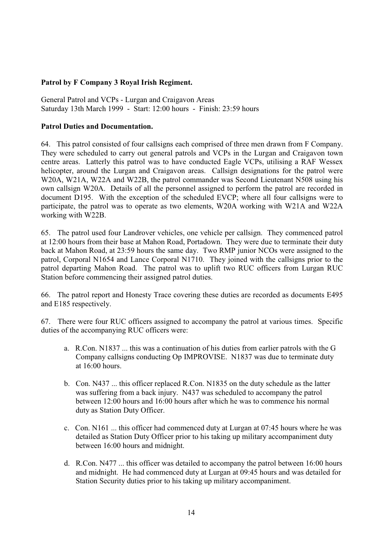## **Patrol by F Company 3 Royal Irish Regiment.**

General Patrol and VCPs - Lurgan and Craigavon Areas Saturday 13th March 1999 - Start: 12:00 hours - Finish: 23:59 hours

#### **Patrol Duties and Documentation.**

64. This patrol consisted of four callsigns each comprised of three men drawn from F Company. They were scheduled to carry out general patrols and VCPs in the Lurgan and Craigavon town centre areas. Latterly this patrol was to have conducted Eagle VCPs, utilising a RAF Wessex helicopter, around the Lurgan and Craigavon areas. Callsign designations for the patrol were W20A, W21A, W22A and W22B, the patrol commander was Second Lieutenant N508 using his own callsign W20A. Details of all the personnel assigned to perform the patrol are recorded in document D195. With the exception of the scheduled EVCP; where all four callsigns were to participate, the patrol was to operate as two elements, W20A working with W21A and W22A working with W22B.

65. The patrol used four Landrover vehicles, one vehicle per callsign. They commenced patrol at 12:00 hours from their base at Mahon Road, Portadown. They were due to terminate their duty back at Mahon Road, at 23:59 hours the same day. Two RMP junior NCOs were assigned to the patrol, Corporal N1654 and Lance Corporal N1710. They joined with the callsigns prior to the patrol departing Mahon Road. The patrol was to uplift two RUC officers from Lurgan RUC Station before commencing their assigned patrol duties.

66. The patrol report and Honesty Trace covering these duties are recorded as documents E495 and E185 respectively.

67. There were four RUC officers assigned to accompany the patrol at various times. Specific duties of the accompanying RUC officers were:

- a. R.Con. N1837 ... this was a continuation of his duties from earlier patrols with the G Company callsigns conducting Op IMPROVISE. N1837 was due to terminate duty at 16:00 hours.
- b. Con. N437 ... this officer replaced R.Con. N1835 on the duty schedule as the latter was suffering from a back injury. N437 was scheduled to accompany the patrol between 12:00 hours and 16:00 hours after which he was to commence his normal duty as Station Duty Officer.
- c. Con. N161 ... this officer had commenced duty at Lurgan at 07:45 hours where he was detailed as Station Duty Officer prior to his taking up military accompaniment duty between 16:00 hours and midnight.
- d. R.Con. N477 ... this officer was detailed to accompany the patrol between 16:00 hours and midnight. He had commenced duty at Lurgan at 09:45 hours and was detailed for Station Security duties prior to his taking up military accompaniment.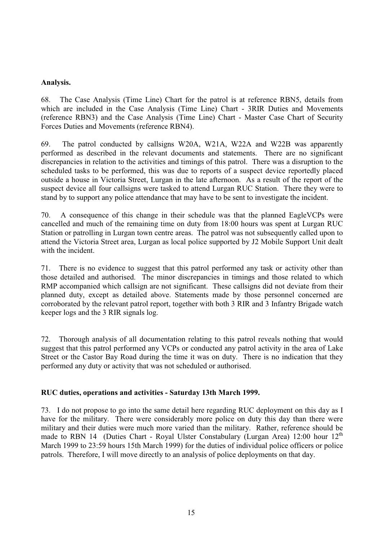#### **Analysis.**

68. The Case Analysis (Time Line) Chart for the patrol is at reference RBN5, details from which are included in the Case Analysis (Time Line) Chart - 3RIR Duties and Movements (reference RBN3) and the Case Analysis (Time Line) Chart - Master Case Chart of Security Forces Duties and Movements (reference RBN4).

69. The patrol conducted by callsigns W20A, W21A, W22A and W22B was apparently performed as described in the relevant documents and statements. There are no significant discrepancies in relation to the activities and timings of this patrol. There was a disruption to the scheduled tasks to be performed, this was due to reports of a suspect device reportedly placed outside a house in Victoria Street, Lurgan in the late afternoon. As a result of the report of the suspect device all four callsigns were tasked to attend Lurgan RUC Station. There they were to stand by to support any police attendance that may have to be sent to investigate the incident.

70. A consequence of this change in their schedule was that the planned EagleVCPs were cancelled and much of the remaining time on duty from 18:00 hours was spent at Lurgan RUC Station or patrolling in Lurgan town centre areas. The patrol was not subsequently called upon to attend the Victoria Street area, Lurgan as local police supported by J2 Mobile Support Unit dealt with the incident.

71. There is no evidence to suggest that this patrol performed any task or activity other than those detailed and authorised. The minor discrepancies in timings and those related to which RMP accompanied which callsign are not significant. These callsigns did not deviate from their planned duty, except as detailed above. Statements made by those personnel concerned are corroborated by the relevant patrol report, together with both 3 RIR and 3 Infantry Brigade watch keeper logs and the 3 RIR signals log.

72. Thorough analysis of all documentation relating to this patrol reveals nothing that would suggest that this patrol performed any VCPs or conducted any patrol activity in the area of Lake Street or the Castor Bay Road during the time it was on duty. There is no indication that they performed any duty or activity that was not scheduled or authorised.

#### **RUC duties, operations and activities - Saturday 13th March 1999.**

73. I do not propose to go into the same detail here regarding RUC deployment on this day as I have for the military. There were considerably more police on duty this day than there were military and their duties were much more varied than the military. Rather, reference should be made to RBN 14 (Duties Chart - Royal Ulster Constabulary (Lurgan Area) 12:00 hour 12<sup>th</sup> March 1999 to 23:59 hours 15th March 1999) for the duties of individual police officers or police patrols. Therefore, I will move directly to an analysis of police deployments on that day.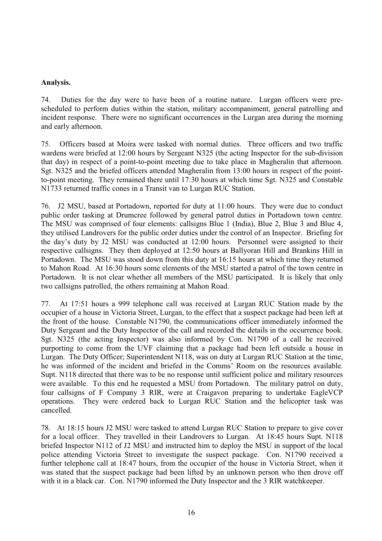#### **Analysis.**

74. Duties for the day were to have been of a routine nature. Lurgan officers were prescheduled to perform duties within the station, military accompaniment, general patrolling and incident response. There were no significant occurrences in the Lurgan area during the morning and early afternoon.

75. Officers based at Moira were tasked with normal duties. Three officers and two traffic wardens were briefed at 12:00 hours by Sergeant N325 (the acting Inspector for the sub-division that day) in respect of a point-to-point meeting due to take place in Magheralin that afternoon. Sgt. N325 and the briefed officers attended Magheralin from 13:00 hours in respect of the pointto-point meeting. They remained there until 17:30 hours at which time Sgt. N325 and Constable N1733 returned traffic cones in a Transit van to Lurgan RUC Station.

76. J2 MSU, based at Portadown, reported for duty at 11:00 hours. They were due to conduct public order tasking at Drumcree followed by general patrol duties in Portadown town centre. The MSU was comprised of four elements: callsigns Blue 1 (India), Blue 2, Blue 3 and Blue 4, they utilised Landrovers for the public order duties under the control of an Inspector. Briefing for the day's duty by J2 MSU was conducted at 12:00 hours. Personnel were assigned to their respective callsigns. They then deployed at 12:50 hours at Ballyoran Hill and Brankins Hill in Portadown. The MSU was stood down from this duty at 16:15 hours at which time they returned to Mahon Road. At 16:30 hours some elements of the MSU started a patrol of the town centre in Portadown. It is not clear whether all members of the MSU participated. It is likely that only two callsigns patrolled, the others remaining at Mahon Road.

77. At 17:51 hours a 999 telephone call was received at Lurgan RUC Station made by the occupier of a house in Victoria Street, Lurgan, to the effect that a suspect package had been left at the front of the house. Constable N1790, the communications officer immediately informed the Duty Sergeant and the Duty Inspector of the call and recorded the details in the occurrence book. Sgt. N325 (the acting Inspector) was also informed by Con. N1790 of a call he received purporting to come from the UVF claiming that a package had been left outside a house in Lurgan. The Duty Officer; Superintendent N118, was on duty at Lurgan RUC Station at the time, he was informed of the incident and briefed in the Comms' Room on the resources available. Supt. N118 directed that there was to be no response until sufficient police and military resources were available. To this end he requested a MSU from Portadown. The military patrol on duty, four callsigns of F Company 3 RIR, were at Craigavon preparing to undertake EagleVCP operations. They were ordered back to Lurgan RUC Station and the helicopter task was cancelled.

78. At 18:15 hours J2 MSU were tasked to attend Lurgan RUC Station to prepare to give cover for a local officer. They travelled in their Landrovers to Lurgan. At 18:45 hours Supt. N118 briefed Inspector N112 of J2 MSU and instructed him to deploy the MSU in support of the local police attending Victoria Street to investigate the suspect package. Con. N1790 received a further telephone call at 18:47 hours, from the occupier of the house in Victoria Street, when it was stated that the suspect package had been lifted by an unknown person who then drove off with it in a black car. Con. N1790 informed the Duty Inspector and the 3 RIR watchkeeper.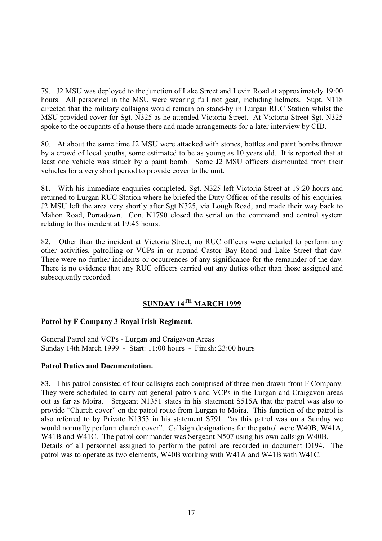79. J2 MSU was deployed to the junction of Lake Street and Levin Road at approximately 19:00 hours. All personnel in the MSU were wearing full riot gear, including helmets. Supt. N118 directed that the military callsigns would remain on stand-by in Lurgan RUC Station whilst the MSU provided cover for Sgt. N325 as he attended Victoria Street. At Victoria Street Sgt. N325 spoke to the occupants of a house there and made arrangements for a later interview by CID.

80. At about the same time J2 MSU were attacked with stones, bottles and paint bombs thrown by a crowd of local youths, some estimated to be as young as 10 years old. It is reported that at least one vehicle was struck by a paint bomb. Some J2 MSU officers dismounted from their vehicles for a very short period to provide cover to the unit.

81. With his immediate enquiries completed, Sgt. N325 left Victoria Street at 19:20 hours and returned to Lurgan RUC Station where he briefed the Duty Officer of the results of his enquiries. J2 MSU left the area very shortly after Sgt N325, via Lough Road, and made their way back to Mahon Road, Portadown. Con. N1790 closed the serial on the command and control system relating to this incident at 19:45 hours.

82. Other than the incident at Victoria Street, no RUC officers were detailed to perform any other activities, patrolling or VCPs in or around Castor Bay Road and Lake Street that day. There were no further incidents or occurrences of any significance for the remainder of the day. There is no evidence that any RUC officers carried out any duties other than those assigned and subsequently recorded.

# **SUNDAY 14TH MARCH 1999**

# **Patrol by F Company 3 Royal Irish Regiment.**

General Patrol and VCPs - Lurgan and Craigavon Areas Sunday 14th March 1999 - Start: 11:00 hours - Finish: 23:00 hours

# **Patrol Duties and Documentation.**

83. This patrol consisted of four callsigns each comprised of three men drawn from F Company. They were scheduled to carry out general patrols and VCPs in the Lurgan and Craigavon areas out as far as Moira. Sergeant N1351 states in his statement S515A that the patrol was also to provide "Church cover" on the patrol route from Lurgan to Moira. This function of the patrol is also referred to by Private N1353 in his statement S791 "as this patrol was on a Sunday we would normally perform church cover". Callsign designations for the patrol were W40B, W41A, W41B and W41C. The patrol commander was Sergeant N507 using his own callsign W40B. Details of all personnel assigned to perform the patrol are recorded in document D194. The patrol was to operate as two elements, W40B working with W41A and W41B with W41C.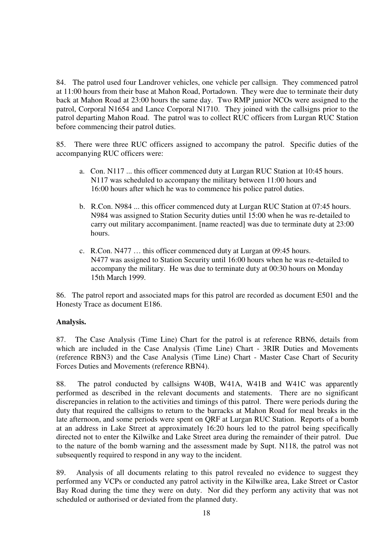84. The patrol used four Landrover vehicles, one vehicle per callsign. They commenced patrol at 11:00 hours from their base at Mahon Road, Portadown. They were due to terminate their duty back at Mahon Road at 23:00 hours the same day. Two RMP junior NCOs were assigned to the patrol, Corporal N1654 and Lance Corporal N1710. They joined with the callsigns prior to the patrol departing Mahon Road. The patrol was to collect RUC officers from Lurgan RUC Station before commencing their patrol duties.

85. There were three RUC officers assigned to accompany the patrol. Specific duties of the accompanying RUC officers were:

- a. Con. N117 ... this officer commenced duty at Lurgan RUC Station at 10:45 hours. N117 was scheduled to accompany the military between 11:00 hours and 16:00 hours after which he was to commence his police patrol duties.
- b. R.Con. N984 ... this officer commenced duty at Lurgan RUC Station at 07:45 hours. N984 was assigned to Station Security duties until 15:00 when he was re-detailed to carry out military accompaniment. [name reacted] was due to terminate duty at 23:00 hours.
- c. R.Con. N477 … this officer commenced duty at Lurgan at 09:45 hours. N477 was assigned to Station Security until 16:00 hours when he was re-detailed to accompany the military. He was due to terminate duty at 00:30 hours on Monday 15th March 1999.

86. The patrol report and associated maps for this patrol are recorded as document E501 and the Honesty Trace as document E186.

# **Analysis.**

87. The Case Analysis (Time Line) Chart for the patrol is at reference RBN6, details from which are included in the Case Analysis (Time Line) Chart - 3RIR Duties and Movements (reference RBN3) and the Case Analysis (Time Line) Chart - Master Case Chart of Security Forces Duties and Movements (reference RBN4).

88. The patrol conducted by callsigns W40B, W41A, W41B and W41C was apparently performed as described in the relevant documents and statements. There are no significant discrepancies in relation to the activities and timings of this patrol. There were periods during the duty that required the callsigns to return to the barracks at Mahon Road for meal breaks in the late afternoon, and some periods were spent on QRF at Lurgan RUC Station. Reports of a bomb at an address in Lake Street at approximately 16:20 hours led to the patrol being specifically directed not to enter the Kilwilke and Lake Street area during the remainder of their patrol. Due to the nature of the bomb warning and the assessment made by Supt. N118, the patrol was not subsequently required to respond in any way to the incident.

89. Analysis of all documents relating to this patrol revealed no evidence to suggest they performed any VCPs or conducted any patrol activity in the Kilwilke area, Lake Street or Castor Bay Road during the time they were on duty. Nor did they perform any activity that was not scheduled or authorised or deviated from the planned duty.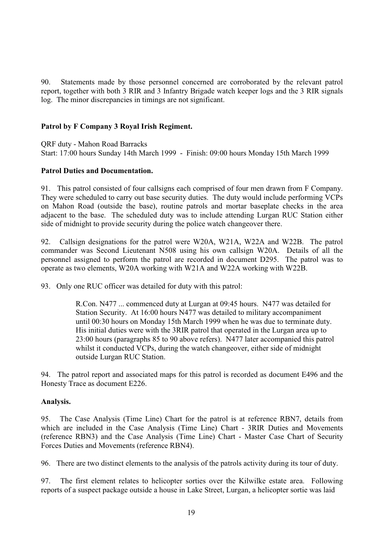90. Statements made by those personnel concerned are corroborated by the relevant patrol report, together with both 3 RIR and 3 Infantry Brigade watch keeper logs and the 3 RIR signals log. The minor discrepancies in timings are not significant.

## **Patrol by F Company 3 Royal Irish Regiment.**

QRF duty - Mahon Road Barracks

Start: 17:00 hours Sunday 14th March 1999 - Finish: 09:00 hours Monday 15th March 1999

#### **Patrol Duties and Documentation.**

91. This patrol consisted of four callsigns each comprised of four men drawn from F Company. They were scheduled to carry out base security duties. The duty would include performing VCPs on Mahon Road (outside the base), routine patrols and mortar baseplate checks in the area adjacent to the base. The scheduled duty was to include attending Lurgan RUC Station either side of midnight to provide security during the police watch changeover there.

92. Callsign designations for the patrol were W20A, W21A, W22A and W22B. The patrol commander was Second Lieutenant N508 using his own callsign W20A. Details of all the personnel assigned to perform the patrol are recorded in document D295. The patrol was to operate as two elements, W20A working with W21A and W22A working with W22B.

93. Only one RUC officer was detailed for duty with this patrol:

 R.Con. N477 ... commenced duty at Lurgan at 09:45 hours. N477 was detailed for Station Security. At 16:00 hours N477 was detailed to military accompaniment until 00:30 hours on Monday 15th March 1999 when he was due to terminate duty. His initial duties were with the 3RIR patrol that operated in the Lurgan area up to 23:00 hours (paragraphs 85 to 90 above refers). N477 later accompanied this patrol whilst it conducted VCPs, during the watch changeover, either side of midnight outside Lurgan RUC Station.

94. The patrol report and associated maps for this patrol is recorded as document E496 and the Honesty Trace as document E226.

#### **Analysis.**

95. The Case Analysis (Time Line) Chart for the patrol is at reference RBN7, details from which are included in the Case Analysis (Time Line) Chart - 3RIR Duties and Movements (reference RBN3) and the Case Analysis (Time Line) Chart - Master Case Chart of Security Forces Duties and Movements (reference RBN4).

96. There are two distinct elements to the analysis of the patrols activity during its tour of duty.

97. The first element relates to helicopter sorties over the Kilwilke estate area. Following reports of a suspect package outside a house in Lake Street, Lurgan, a helicopter sortie was laid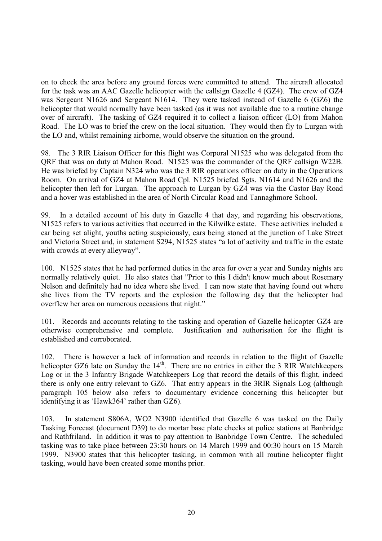on to check the area before any ground forces were committed to attend. The aircraft allocated for the task was an AAC Gazelle helicopter with the callsign Gazelle 4 (GZ4). The crew of GZ4 was Sergeant N1626 and Sergeant N1614. They were tasked instead of Gazelle 6 (GZ6) the helicopter that would normally have been tasked (as it was not available due to a routine change over of aircraft). The tasking of GZ4 required it to collect a liaison officer (LO) from Mahon Road. The LO was to brief the crew on the local situation. They would then fly to Lurgan with the LO and, whilst remaining airborne, would observe the situation on the ground.

98. The 3 RIR Liaison Officer for this flight was Corporal N1525 who was delegated from the QRF that was on duty at Mahon Road. N1525 was the commander of the QRF callsign W22B. He was briefed by Captain N324 who was the 3 RIR operations officer on duty in the Operations Room. On arrival of GZ4 at Mahon Road Cpl. N1525 briefed Sgts. N1614 and N1626 and the helicopter then left for Lurgan. The approach to Lurgan by GZ4 was via the Castor Bay Road and a hover was established in the area of North Circular Road and Tannaghmore School.

99. In a detailed account of his duty in Gazelle 4 that day, and regarding his observations, N1525 refers to various activities that occurred in the Kilwilke estate. These activities included a car being set alight, youths acting suspiciously, cars being stoned at the junction of Lake Street and Victoria Street and, in statement S294, N1525 states "a lot of activity and traffic in the estate with crowds at every alleyway".

100. N1525 states that he had performed duties in the area for over a year and Sunday nights are normally relatively quiet. He also states that "Prior to this I didn't know much about Rosemary Nelson and definitely had no idea where she lived. I can now state that having found out where she lives from the TV reports and the explosion the following day that the helicopter had overflew her area on numerous occasions that night."

101. Records and accounts relating to the tasking and operation of Gazelle helicopter GZ4 are otherwise comprehensive and complete. Justification and authorisation for the flight is established and corroborated.

102. There is however a lack of information and records in relation to the flight of Gazelle helicopter GZ6 late on Sunday the  $14<sup>th</sup>$ . There are no entries in either the 3 RIR Watchkeepers Log or in the 3 Infantry Brigade Watchkeepers Log that record the details of this flight, indeed there is only one entry relevant to GZ6. That entry appears in the 3RIR Signals Log (although paragraph 105 below also refers to documentary evidence concerning this helicopter but identifying it as 'Hawk364' rather than GZ6).

103. In statement S806A, WO2 N3900 identified that Gazelle 6 was tasked on the Daily Tasking Forecast (document D39) to do mortar base plate checks at police stations at Banbridge and Rathfriland. In addition it was to pay attention to Banbridge Town Centre. The scheduled tasking was to take place between 23:30 hours on 14 March 1999 and 00:30 hours on 15 March 1999. N3900 states that this helicopter tasking, in common with all routine helicopter flight tasking, would have been created some months prior.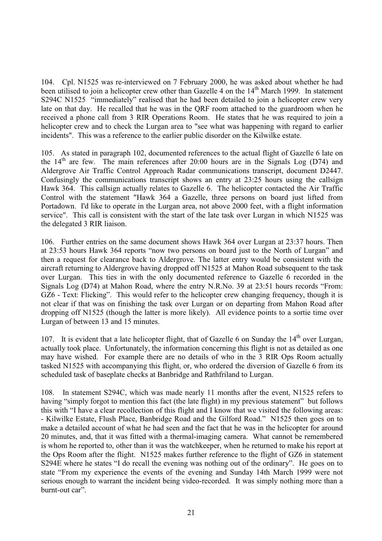104. Cpl. N1525 was re-interviewed on 7 February 2000, he was asked about whether he had been utilised to join a helicopter crew other than Gazelle 4 on the 14<sup>th</sup> March 1999. In statement S294C N1525 "immediately" realised that he had been detailed to join a helicopter crew very late on that day. He recalled that he was in the QRF room attached to the guardroom when he received a phone call from 3 RIR Operations Room. He states that he was required to join a helicopter crew and to check the Lurgan area to "see what was happening with regard to earlier incidents". This was a reference to the earlier public disorder on the Kilwilke estate.

105. As stated in paragraph 102, documented references to the actual flight of Gazelle 6 late on the  $14<sup>th</sup>$  are few. The main references after 20:00 hours are in the Signals Log (D74) and Aldergrove Air Traffic Control Approach Radar communications transcript, document D2447. Confusingly the communications transcript shows an entry at 23:25 hours using the callsign Hawk 364. This callsign actually relates to Gazelle 6. The helicopter contacted the Air Traffic Control with the statement "Hawk 364 a Gazelle, three persons on board just lifted from Portadown. I'd like to operate in the Lurgan area, not above 2000 feet, with a flight information service". This call is consistent with the start of the late task over Lurgan in which N1525 was the delegated 3 RIR liaison.

106. Further entries on the same document shows Hawk 364 over Lurgan at 23:37 hours. Then at 23:53 hours Hawk 364 reports "now two persons on board just to the North of Lurgan" and then a request for clearance back to Aldergrove. The latter entry would be consistent with the aircraft returning to Aldergrove having dropped off N1525 at Mahon Road subsequent to the task over Lurgan. This ties in with the only documented reference to Gazelle 6 recorded in the Signals Log (D74) at Mahon Road, where the entry N.R.No. 39 at 23:51 hours records "From: GZ6 - Text: Flicking". This would refer to the helicopter crew changing frequency, though it is not clear if that was on finishing the task over Lurgan or on departing from Mahon Road after dropping off N1525 (though the latter is more likely). All evidence points to a sortie time over Lurgan of between 13 and 15 minutes.

107. It is evident that a late helicopter flight, that of Gazelle 6 on Sunday the  $14<sup>th</sup>$  over Lurgan, actually took place. Unfortunately, the information concerning this flight is not as detailed as one may have wished. For example there are no details of who in the 3 RIR Ops Room actually tasked N1525 with accompanying this flight, or, who ordered the diversion of Gazelle 6 from its scheduled task of baseplate checks at Banbridge and Rathfriland to Lurgan.

108. In statement S294C, which was made nearly 11 months after the event, N1525 refers to having "simply forgot to mention this fact (the late flight) in my previous statement" but follows this with "I have a clear recollection of this flight and I know that we visited the following areas: - Kilwilke Estate, Flush Place, Banbridge Road and the Gilford Road." N1525 then goes on to make a detailed account of what he had seen and the fact that he was in the helicopter for around 20 minutes, and, that it was fitted with a thermal-imaging camera. What cannot be remembered is whom he reported to, other than it was the watchkeeper, when he returned to make his report at the Ops Room after the flight. N1525 makes further reference to the flight of GZ6 in statement S294E where he states "I do recall the evening was nothing out of the ordinary". He goes on to state "From my experience the events of the evening and Sunday 14th March 1999 were not serious enough to warrant the incident being video-recorded. It was simply nothing more than a burnt-out car".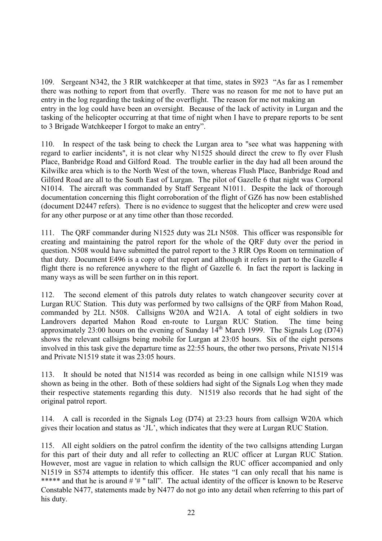109. Sergeant N342, the 3 RIR watchkeeper at that time, states in S923 "As far as I remember there was nothing to report from that overfly. There was no reason for me not to have put an entry in the log regarding the tasking of the overflight. The reason for me not making an entry in the log could have been an oversight. Because of the lack of activity in Lurgan and the tasking of the helicopter occurring at that time of night when I have to prepare reports to be sent to 3 Brigade Watchkeeper I forgot to make an entry".

110. In respect of the task being to check the Lurgan area to "see what was happening with regard to earlier incidents", it is not clear why N1525 should direct the crew to fly over Flush Place, Banbridge Road and Gilford Road. The trouble earlier in the day had all been around the Kilwilke area which is to the North West of the town, whereas Flush Place, Banbridge Road and Gilford Road are all to the South East of Lurgan. The pilot of Gazelle 6 that night was Corporal N1014. The aircraft was commanded by Staff Sergeant N1011. Despite the lack of thorough documentation concerning this flight corroboration of the flight of GZ6 has now been established (document D2447 refers). There is no evidence to suggest that the helicopter and crew were used for any other purpose or at any time other than those recorded.

111. The QRF commander during N1525 duty was 2Lt N508. This officer was responsible for creating and maintaining the patrol report for the whole of the QRF duty over the period in question. N508 would have submitted the patrol report to the 3 RIR Ops Room on termination of that duty. Document E496 is a copy of that report and although it refers in part to the Gazelle 4 flight there is no reference anywhere to the flight of Gazelle 6. In fact the report is lacking in many ways as will be seen further on in this report.

112. The second element of this patrols duty relates to watch changeover security cover at Lurgan RUC Station. This duty was performed by two callsigns of the QRF from Mahon Road, commanded by 2Lt. N508. Callsigns W20A and W21A. A total of eight soldiers in two Landrovers departed Mahon Road en-route to Lurgan RUC Station. The time being approximately 23:00 hours on the evening of Sunday  $14^{th}$  March 1999. The Signals Log (D74) shows the relevant callsigns being mobile for Lurgan at 23:05 hours. Six of the eight persons involved in this task give the departure time as 22:55 hours, the other two persons, Private N1514 and Private N1519 state it was 23:05 hours.

113. It should be noted that N1514 was recorded as being in one callsign while N1519 was shown as being in the other. Both of these soldiers had sight of the Signals Log when they made their respective statements regarding this duty. N1519 also records that he had sight of the original patrol report.

114. A call is recorded in the Signals Log (D74) at 23:23 hours from callsign W20A which gives their location and status as 'JL', which indicates that they were at Lurgan RUC Station.

115. All eight soldiers on the patrol confirm the identity of the two callsigns attending Lurgan for this part of their duty and all refer to collecting an RUC officer at Lurgan RUC Station. However, most are vague in relation to which callsign the RUC officer accompanied and only N1519 in S574 attempts to identify this officer. He states "I can only recall that his name is \*\*\*\*\* and that he is around # '# " tall". The actual identity of the officer is known to be Reserve Constable N477, statements made by N477 do not go into any detail when referring to this part of his duty.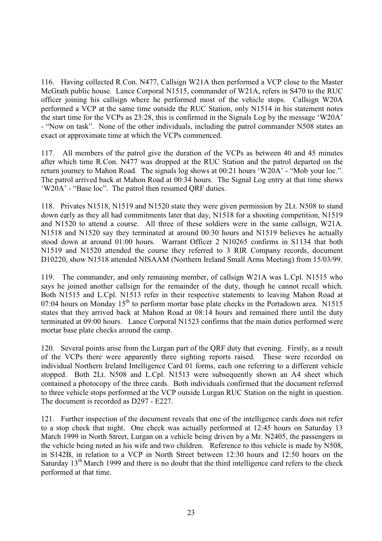116. Having collected R.Con. N477, Callsign W21A then performed a VCP close to the Master McGrath public house. Lance Corporal N1515, commander of W21A, refers in S470 to the RUC officer joining his callsign where he performed most of the vehicle stops. Callsign W20A performed a VCP at the same time outside the RUC Station, only N1514 in his statement notes the start time for the VCPs as 23:28, this is confirmed in the Signals Log by the message 'W20A' - "Now on task". None of the other individuals, including the patrol commander N508 states an exact or approximate time at which the VCPs commenced.

117. All members of the patrol give the duration of the VCPs as between 40 and 45 minutes after which time R.Con. N477 was dropped at the RUC Station and the patrol departed on the return journey to Mahon Road. The signals log shows at 00:21 hours 'W20A' - "Mob your loc.". The patrol arrived back at Mahon Road at 00:34 hours. The Signal Log entry at that time shows 'W20A' - "Base loc". The patrol then resumed QRF duties.

118. Privates N1518, N1519 and N1520 state they were given permission by 2Lt. N508 to stand down early as they all had commitments later that day, N1518 for a shooting competition, N1519 and N1520 to attend a course. All three of these soldiers were in the same callsign, W21A. N1518 and N1520 say they terminated at around 00:30 hours and N1519 believes he actually stood down at around 01:00 hours. Warrant Officer 2 N10265 confirms in S1134 that both N1519 and N1520 attended the course they referred to 3 RIR Company records, document D10220, show N1518 attended NISAAM (Northern Ireland Small Arms Meeting) from 15/03/99.

119. The commander, and only remaining member, of callsign W21A was L.Cpl. N1515 who says he joined another callsign for the remainder of the duty, though he cannot recall which. Both N1515 and L.Cpl. N1513 refer in their respective statements to leaving Mahon Road at 07:04 hours on Monday  $15<sup>th</sup>$  to perform mortar base plate checks in the Portadown area. N1515 states that they arrived back at Mahon Road at 08:14 hours and remained there until the duty terminated at 09:00 hours. Lance Corporal N1523 confirms that the main duties performed were mortar base plate checks around the camp.

120. Several points arise from the Lurgan part of the QRF duty that evening. Firstly, as a result of the VCPs there were apparently three sighting reports raised. These were recorded on individual Northern Ireland Intelligence Card 01 forms, each one referring to a different vehicle stopped. Both 2Lt. N508 and L.Cpl. N1513 were subsequently shown an A4 sheet which contained a photocopy of the three cards. Both individuals confirmed that the document referred to three vehicle stops performed at the VCP outside Lurgan RUC Station on the night in question. The document is recorded as D297 - E227.

121. Further inspection of the document reveals that one of the intelligence cards does not refer to a stop check that night. One check was actually performed at 12:45 hours on Saturday 13 March 1999 in North Street, Lurgan on a vehicle being driven by a Mr. N2405, the passengers in the vehicle being noted as his wife and two children. Reference to this vehicle is made by N508, in S142B, in relation to a VCP in North Street between 12:30 hours and 12:50 hours on the Saturday  $13<sup>th</sup>$  March 1999 and there is no doubt that the third intelligence card refers to the check performed at that time.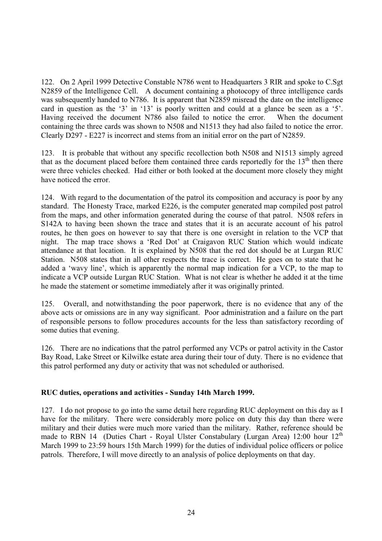122. On 2 April 1999 Detective Constable N786 went to Headquarters 3 RIR and spoke to C.Sgt N2859 of the Intelligence Cell. A document containing a photocopy of three intelligence cards was subsequently handed to N786. It is apparent that N2859 misread the date on the intelligence card in question as the '3' in '13' is poorly written and could at a glance be seen as a '5'. Having received the document N786 also failed to notice the error. When the document containing the three cards was shown to N508 and N1513 they had also failed to notice the error. Clearly D297 - E227 is incorrect and stems from an initial error on the part of N2859.

123. It is probable that without any specific recollection both N508 and N1513 simply agreed that as the document placed before them contained three cards reportedly for the  $13<sup>th</sup>$  then there were three vehicles checked. Had either or both looked at the document more closely they might have noticed the error.

124. With regard to the documentation of the patrol its composition and accuracy is poor by any standard. The Honesty Trace, marked E226, is the computer generated map compiled post patrol from the maps, and other information generated during the course of that patrol. N508 refers in S142A to having been shown the trace and states that it is an accurate account of his patrol routes, he then goes on however to say that there is one oversight in relation to the VCP that night. The map trace shows a 'Red Dot' at Craigavon RUC Station which would indicate attendance at that location. It is explained by N508 that the red dot should be at Lurgan RUC Station. N508 states that in all other respects the trace is correct. He goes on to state that he added a 'wavy line', which is apparently the normal map indication for a VCP, to the map to indicate a VCP outside Lurgan RUC Station. What is not clear is whether he added it at the time he made the statement or sometime immediately after it was originally printed.

125. Overall, and notwithstanding the poor paperwork, there is no evidence that any of the above acts or omissions are in any way significant. Poor administration and a failure on the part of responsible persons to follow procedures accounts for the less than satisfactory recording of some duties that evening.

126. There are no indications that the patrol performed any VCPs or patrol activity in the Castor Bay Road, Lake Street or Kilwilke estate area during their tour of duty. There is no evidence that this patrol performed any duty or activity that was not scheduled or authorised.

# **RUC duties, operations and activities - Sunday 14th March 1999.**

127. I do not propose to go into the same detail here regarding RUC deployment on this day as I have for the military. There were considerably more police on duty this day than there were military and their duties were much more varied than the military. Rather, reference should be made to RBN 14 (Duties Chart - Royal Ulster Constabulary (Lurgan Area) 12:00 hour  $12<sup>th</sup>$ March 1999 to 23:59 hours 15th March 1999) for the duties of individual police officers or police patrols. Therefore, I will move directly to an analysis of police deployments on that day.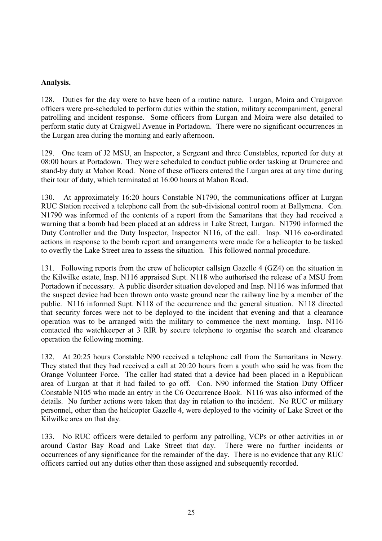#### **Analysis.**

128. Duties for the day were to have been of a routine nature. Lurgan, Moira and Craigavon officers were pre-scheduled to perform duties within the station, military accompaniment, general patrolling and incident response. Some officers from Lurgan and Moira were also detailed to perform static duty at Craigwell Avenue in Portadown. There were no significant occurrences in the Lurgan area during the morning and early afternoon.

129. One team of J2 MSU, an Inspector, a Sergeant and three Constables, reported for duty at 08:00 hours at Portadown. They were scheduled to conduct public order tasking at Drumcree and stand-by duty at Mahon Road. None of these officers entered the Lurgan area at any time during their tour of duty, which terminated at 16:00 hours at Mahon Road.

130. At approximately 16:20 hours Constable N1790, the communications officer at Lurgan RUC Station received a telephone call from the sub-divisional control room at Ballymena. Con. N1790 was informed of the contents of a report from the Samaritans that they had received a warning that a bomb had been placed at an address in Lake Street, Lurgan. N1790 informed the Duty Controller and the Duty Inspector, Inspector N116, of the call. Insp. N116 co-ordinated actions in response to the bomb report and arrangements were made for a helicopter to be tasked to overfly the Lake Street area to assess the situation. This followed normal procedure.

131. Following reports from the crew of helicopter callsign Gazelle 4 (GZ4) on the situation in the Kilwilke estate, Insp. N116 appraised Supt. N118 who authorised the release of a MSU from Portadown if necessary. A public disorder situation developed and Insp. N116 was informed that the suspect device had been thrown onto waste ground near the railway line by a member of the public. N116 informed Supt. N118 of the occurrence and the general situation. N118 directed that security forces were not to be deployed to the incident that evening and that a clearance operation was to be arranged with the military to commence the next morning. Insp. N116 contacted the watchkeeper at 3 RIR by secure telephone to organise the search and clearance operation the following morning.

132. At 20:25 hours Constable N90 received a telephone call from the Samaritans in Newry. They stated that they had received a call at 20:20 hours from a youth who said he was from the Orange Volunteer Force. The caller had stated that a device had been placed in a Republican area of Lurgan at that it had failed to go off. Con. N90 informed the Station Duty Officer Constable N105 who made an entry in the C6 Occurrence Book. N116 was also informed of the details. No further actions were taken that day in relation to the incident. No RUC or military personnel, other than the helicopter Gazelle 4, were deployed to the vicinity of Lake Street or the Kilwilke area on that day.

133. No RUC officers were detailed to perform any patrolling, VCPs or other activities in or around Castor Bay Road and Lake Street that day. There were no further incidents or occurrences of any significance for the remainder of the day. There is no evidence that any RUC officers carried out any duties other than those assigned and subsequently recorded.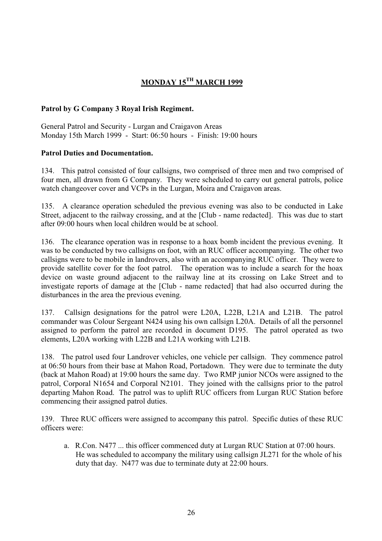# **MONDAY 15TH MARCH 1999**

# **Patrol by G Company 3 Royal Irish Regiment.**

General Patrol and Security - Lurgan and Craigavon Areas Monday 15th March 1999 - Start: 06:50 hours - Finish: 19:00 hours

# **Patrol Duties and Documentation.**

134. This patrol consisted of four callsigns, two comprised of three men and two comprised of four men, all drawn from G Company. They were scheduled to carry out general patrols, police watch changeover cover and VCPs in the Lurgan, Moira and Craigavon areas.

135. A clearance operation scheduled the previous evening was also to be conducted in Lake Street, adjacent to the railway crossing, and at the [Club - name redacted]. This was due to start after 09:00 hours when local children would be at school.

136. The clearance operation was in response to a hoax bomb incident the previous evening. It was to be conducted by two callsigns on foot, with an RUC officer accompanying. The other two callsigns were to be mobile in landrovers, also with an accompanying RUC officer. They were to provide satellite cover for the foot patrol. The operation was to include a search for the hoax device on waste ground adjacent to the railway line at its crossing on Lake Street and to investigate reports of damage at the [Club - name redacted] that had also occurred during the disturbances in the area the previous evening.

137. Callsign designations for the patrol were L20A, L22B, L21A and L21B. The patrol commander was Colour Sergeant N424 using his own callsign L20A. Details of all the personnel assigned to perform the patrol are recorded in document D195. The patrol operated as two elements, L20A working with L22B and L21A working with L21B.

138. The patrol used four Landrover vehicles, one vehicle per callsign. They commence patrol at 06:50 hours from their base at Mahon Road, Portadown. They were due to terminate the duty (back at Mahon Road) at 19:00 hours the same day. Two RMP junior NCOs were assigned to the patrol, Corporal N1654 and Corporal N2101. They joined with the callsigns prior to the patrol departing Mahon Road. The patrol was to uplift RUC officers from Lurgan RUC Station before commencing their assigned patrol duties.

139. Three RUC officers were assigned to accompany this patrol. Specific duties of these RUC officers were:

a. R.Con. N477 ... this officer commenced duty at Lurgan RUC Station at 07:00 hours. He was scheduled to accompany the military using callsign JL271 for the whole of his duty that day. N477 was due to terminate duty at 22:00 hours.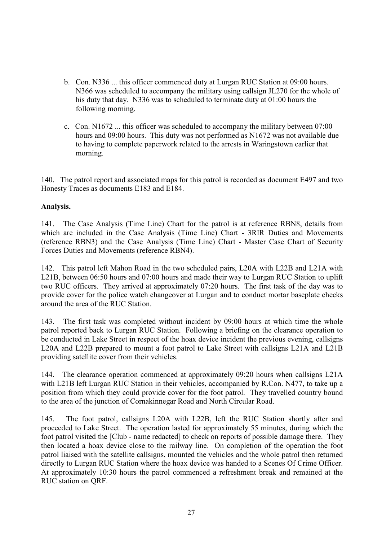- b. Con. N336 ... this officer commenced duty at Lurgan RUC Station at 09:00 hours. N366 was scheduled to accompany the military using callsign JL270 for the whole of his duty that day. N336 was to scheduled to terminate duty at 01:00 hours the following morning.
- c. Con. N1672 ... this officer was scheduled to accompany the military between 07:00 hours and 09:00 hours. This duty was not performed as N1672 was not available due to having to complete paperwork related to the arrests in Waringstown earlier that morning.

140. The patrol report and associated maps for this patrol is recorded as document E497 and two Honesty Traces as documents E183 and E184.

# **Analysis.**

141. The Case Analysis (Time Line) Chart for the patrol is at reference RBN8, details from which are included in the Case Analysis (Time Line) Chart - 3RIR Duties and Movements (reference RBN3) and the Case Analysis (Time Line) Chart - Master Case Chart of Security Forces Duties and Movements (reference RBN4).

142. This patrol left Mahon Road in the two scheduled pairs, L20A with L22B and L21A with L21B, between 06:50 hours and 07:00 hours and made their way to Lurgan RUC Station to uplift two RUC officers. They arrived at approximately 07:20 hours. The first task of the day was to provide cover for the police watch changeover at Lurgan and to conduct mortar baseplate checks around the area of the RUC Station.

143. The first task was completed without incident by 09:00 hours at which time the whole patrol reported back to Lurgan RUC Station. Following a briefing on the clearance operation to be conducted in Lake Street in respect of the hoax device incident the previous evening, callsigns L20A and L22B prepared to mount a foot patrol to Lake Street with callsigns L21A and L21B providing satellite cover from their vehicles.

144. The clearance operation commenced at approximately 09:20 hours when callsigns L21A with L21B left Lurgan RUC Station in their vehicles, accompanied by R.Con. N477, to take up a position from which they could provide cover for the foot patrol. They travelled country bound to the area of the junction of Cornakinnegar Road and North Circular Road.

145. The foot patrol, callsigns L20A with L22B, left the RUC Station shortly after and proceeded to Lake Street. The operation lasted for approximately 55 minutes, during which the foot patrol visited the [Club - name redacted] to check on reports of possible damage there. They then located a hoax device close to the railway line. On completion of the operation the foot patrol liaised with the satellite callsigns, mounted the vehicles and the whole patrol then returned directly to Lurgan RUC Station where the hoax device was handed to a Scenes Of Crime Officer. At approximately 10:30 hours the patrol commenced a refreshment break and remained at the RUC station on QRF.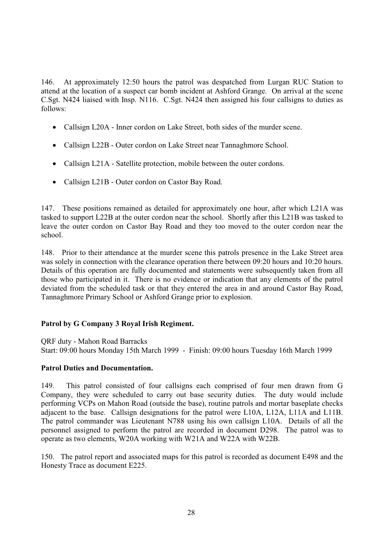146. At approximately 12:50 hours the patrol was despatched from Lurgan RUC Station to attend at the location of a suspect car bomb incident at Ashford Grange. On arrival at the scene C.Sgt. N424 liaised with Insp. N116. C.Sgt. N424 then assigned his four callsigns to duties as follows:

- Callsign L20A Inner cordon on Lake Street, both sides of the murder scene.
- Callsign L22B Outer cordon on Lake Street near Tannaghmore School.
- Callsign L21A Satellite protection, mobile between the outer cordons.
- Callsign L21B Outer cordon on Castor Bay Road.

147. These positions remained as detailed for approximately one hour, after which L21A was tasked to support L22B at the outer cordon near the school. Shortly after this L21B was tasked to leave the outer cordon on Castor Bay Road and they too moved to the outer cordon near the school.

148. Prior to their attendance at the murder scene this patrols presence in the Lake Street area was solely in connection with the clearance operation there between 09:20 hours and 10:20 hours. Details of this operation are fully documented and statements were subsequently taken from all those who participated in it. There is no evidence or indication that any elements of the patrol deviated from the scheduled task or that they entered the area in and around Castor Bay Road, Tannaghmore Primary School or Ashford Grange prior to explosion.

# **Patrol by G Company 3 Royal Irish Regiment.**

QRF duty - Mahon Road Barracks

Start: 09:00 hours Monday 15th March 1999 - Finish: 09:00 hours Tuesday 16th March 1999

# **Patrol Duties and Documentation.**

149. This patrol consisted of four callsigns each comprised of four men drawn from G Company, they were scheduled to carry out base security duties. The duty would include performing VCPs on Mahon Road (outside the base), routine patrols and mortar baseplate checks adjacent to the base. Callsign designations for the patrol were L10A, L12A, L11A and L11B. The patrol commander was Lieutenant N788 using his own callsign L10A. Details of all the personnel assigned to perform the patrol are recorded in document D298. The patrol was to operate as two elements, W20A working with W21A and W22A with W22B.

150. The patrol report and associated maps for this patrol is recorded as document E498 and the Honesty Trace as document E225.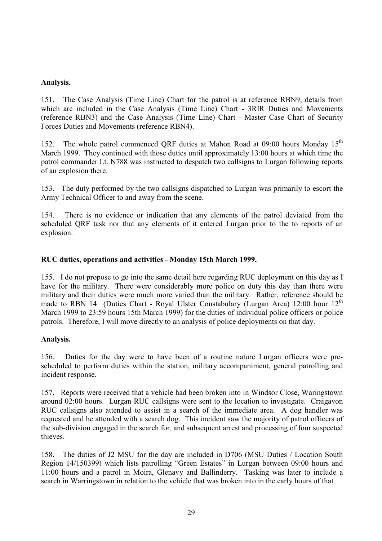## **Analysis.**

151. The Case Analysis (Time Line) Chart for the patrol is at reference RBN9, details from which are included in the Case Analysis (Time Line) Chart - 3RIR Duties and Movements (reference RBN3) and the Case Analysis (Time Line) Chart - Master Case Chart of Security Forces Duties and Movements (reference RBN4).

152. The whole patrol commenced QRF duties at Mahon Road at 09:00 hours Monday 15<sup>th</sup> March 1999. They continued with those duties until approximately 13:00 hours at which time the patrol commander Lt. N788 was instructed to despatch two callsigns to Lurgan following reports of an explosion there.

153. The duty performed by the two callsigns dispatched to Lurgan was primarily to escort the Army Technical Officer to and away from the scene.

154. There is no evidence or indication that any elements of the patrol deviated from the scheduled QRF task nor that any elements of it entered Lurgan prior to the to reports of an explosion.

#### **RUC duties, operations and activities - Monday 15th March 1999.**

155. I do not propose to go into the same detail here regarding RUC deployment on this day as I have for the military. There were considerably more police on duty this day than there were military and their duties were much more varied than the military. Rather, reference should be made to RBN 14 (Duties Chart - Royal Ulster Constabulary (Lurgan Area) 12:00 hour 12<sup>th</sup> March 1999 to 23:59 hours 15th March 1999) for the duties of individual police officers or police patrols. Therefore, I will move directly to an analysis of police deployments on that day.

#### **Analysis.**

156. Duties for the day were to have been of a routine nature Lurgan officers were prescheduled to perform duties within the station, military accompaniment, general patrolling and incident response.

157. Reports were received that a vehicle had been broken into in Windsor Close, Waringstown around 02:00 hours. Lurgan RUC callsigns were sent to the location to investigate. Craigavon RUC callsigns also attended to assist in a search of the immediate area. A dog handler was requested and he attended with a search dog. This incident saw the majority of patrol officers of the sub-division engaged in the search for, and subsequent arrest and processing of four suspected thieves.

158. The duties of J2 MSU for the day are included in D706 (MSU Duties / Location South Region 14/150399) which lists patrolling "Green Estates" in Lurgan between 09:00 hours and 11:00 hours and a patrol in Moira, Glenavy and Ballinderry. Tasking was later to include a search in Warringstown in relation to the vehicle that was broken into in the early hours of that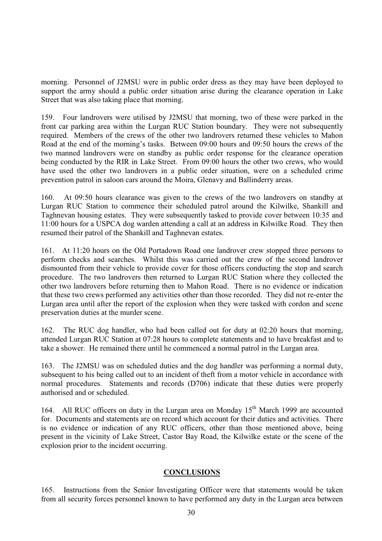morning. Personnel of J2MSU were in public order dress as they may have been deployed to support the army should a public order situation arise during the clearance operation in Lake Street that was also taking place that morning.

159. Four landrovers were utilised by J2MSU that morning, two of these were parked in the front car parking area within the Lurgan RUC Station boundary. They were not subsequently required. Members of the crews of the other two landrovers returned these vehicles to Mahon Road at the end of the morning's tasks. Between 09:00 hours and 09:50 hours the crews of the two manned landrovers were on standby as public order response for the clearance operation being conducted by the RIR in Lake Street. From 09:00 hours the other two crews, who would have used the other two landrovers in a public order situation, were on a scheduled crime prevention patrol in saloon cars around the Moira, Glenavy and Ballinderry areas.

160. At 09:50 hours clearance was given to the crews of the two landrovers on standby at Lurgan RUC Station to commence their scheduled patrol around the Kilwilke, Shankill and Taghnevan housing estates. They were subsequently tasked to provide cover between 10:35 and 11:00 hours for a USPCA dog warden attending a call at an address in Kilwilke Road. They then resumed their patrol of the Shankill and Taghnevan estates.

161. At 11:20 hours on the Old Portadown Road one landrover crew stopped three persons to perform checks and searches. Whilst this was carried out the crew of the second landrover dismounted from their vehicle to provide cover for those officers conducting the stop and search procedure. The two landrovers then returned to Lurgan RUC Station where they collected the other two landrovers before returning then to Mahon Road. There is no evidence or indication that these two crews performed any activities other than those recorded. They did not re-enter the Lurgan area until after the report of the explosion when they were tasked with cordon and scene preservation duties at the murder scene.

162. The RUC dog handler, who had been called out for duty at 02:20 hours that morning, attended Lurgan RUC Station at 07:28 hours to complete statements and to have breakfast and to take a shower. He remained there until he commenced a normal patrol in the Lurgan area.

163. The J2MSU was on scheduled duties and the dog handler was performing a normal duty, subsequent to his being called out to an incident of theft from a motor vehicle in accordance with normal procedures. Statements and records (D706) indicate that these duties were properly authorised and or scheduled.

164. All RUC officers on duty in the Lurgan area on Monday 15<sup>th</sup> March 1999 are accounted for. Documents and statements are on record which account for their duties and activities. There is no evidence or indication of any RUC officers, other than those mentioned above, being present in the vicinity of Lake Street, Castor Bay Road, the Kilwilke estate or the scene of the explosion prior to the incident occurring.

#### **CONCLUSIONS**

165. Instructions from the Senior Investigating Officer were that statements would be taken from all security forces personnel known to have performed any duty in the Lurgan area between